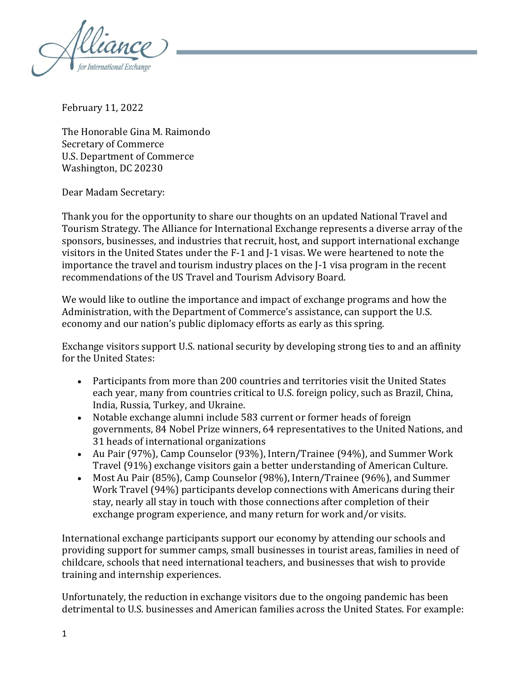

February 11, 2022

The Honorable Gina M. Raimondo Secretary of Commerce U.S. Department of Commerce Washington, DC 20230

Dear Madam Secretary:

Thank you for the opportunity to share our thoughts on an updated National Travel and Tourism Strategy. The Alliance for International Exchange represents a diverse array of the sponsors, businesses, and industries that recruit, host, and support international exchange visitors in the United States under the F-1 and J-1 visas. We were heartened to note the importance the travel and tourism industry places on the J-1 visa program in the recent recommendations of the US Travel and Tourism Advisory Board.

We would like to outline the importance and impact of exchange programs and how the Administration, with the Department of Commerce's assistance, can support the U.S. economy and our nation's public diplomacy efforts as early as this spring.

Exchange visitors support U.S. national security by developing strong ties to and an affinity for the United States:

- Participants from more than 200 countries and territories visit the United States each year, many from countries critical to U.S. foreign policy, such as Brazil, China, India, Russia, Turkey, and Ukraine.
- Notable exchange alumni include 583 current or former heads of foreign governments, 84 Nobel Prize winners, 64 representatives to the United Nations, and 31 heads of international organizations
- Au Pair (97%), Camp Counselor (93%), Intern/Trainee (94%), and Summer Work Travel (91%) exchange visitors gain a better understanding of American Culture.
- Most Au Pair (85%), Camp Counselor (98%), Intern/Trainee (96%), and Summer Work Travel (94%) participants develop connections with Americans during their stay, nearly all stay in touch with those connections after completion of their exchange program experience, and many return for work and/or visits.

International exchange participants support our economy by attending our schools and providing support for summer camps, small businesses in tourist areas, families in need of childcare, schools that need international teachers, and businesses that wish to provide training and internship experiences.

Unfortunately, the reduction in exchange visitors due to the ongoing pandemic has been detrimental to U.S. businesses and American families across the United States. For example: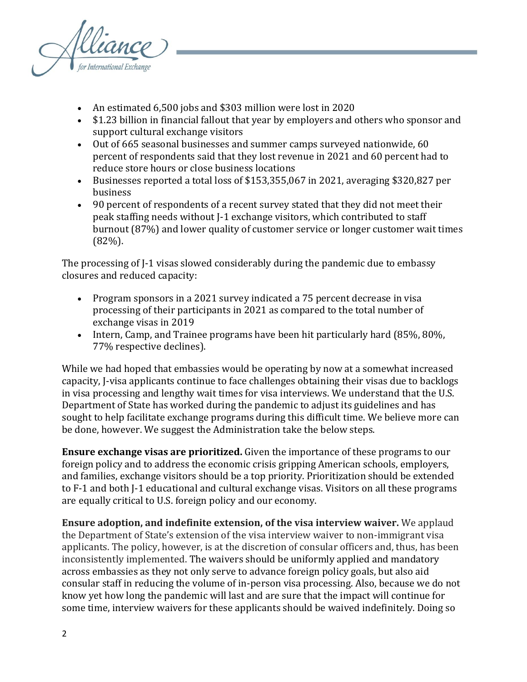

- An estimated 6,500 jobs and \$303 million were lost in 2020
- \$1.23 billion in financial fallout that year by employers and others who sponsor and support cultural exchange visitors
- Out of 665 seasonal businesses and summer camps surveyed nationwide, 60 percent of respondents said that they lost revenue in 2021 and 60 percent had to reduce store hours or close business locations
- Businesses reported a total loss of \$153,355,067 in 2021, averaging \$320,827 per business
- 90 percent of respondents of a recent survey stated that they did not meet their peak staffing needs without J-1 exchange visitors, which contributed to staff burnout (87%) and lower quality of customer service or longer customer wait times (82%).

The processing of J-1 visas slowed considerably during the pandemic due to embassy closures and reduced capacity:

- Program sponsors in a 2021 survey indicated a 75 percent decrease in visa processing of their participants in 2021 as compared to the total number of exchange visas in 2019
- Intern, Camp, and Trainee programs have been hit particularly hard (85%, 80%, 77% respective declines).

While we had hoped that embassies would be operating by now at a somewhat increased capacity, J-visa applicants continue to face challenges obtaining their visas due to backlogs in visa processing and lengthy wait times for visa interviews. We understand that the U.S. Department of State has worked during the pandemic to adjust its guidelines and has sought to help facilitate exchange programs during this difficult time. We believe more can be done, however. We suggest the Administration take the below steps.

**Ensure exchange visas are prioritized.** Given the importance of these programs to our foreign policy and to address the economic crisis gripping American schools, employers, and families, exchange visitors should be a top priority. Prioritization should be extended to F-1 and both J-1 educational and cultural exchange visas. Visitors on all these programs are equally critical to U.S. foreign policy and our economy.

**Ensure adoption, and indefinite extension, of the visa interview waiver.** We applaud the Department of State's extension of the visa interview waiver to non-immigrant visa applicants. The policy, however, is at the discretion of consular officers and, thus, has been inconsistently implemented. The waivers should be uniformly applied and mandatory across embassies as they not only serve to advance foreign policy goals, but also aid consular staff in reducing the volume of in-person visa processing. Also, because we do not know yet how long the pandemic will last and are sure that the impact will continue for some time, interview waivers for these applicants should be waived indefinitely. Doing so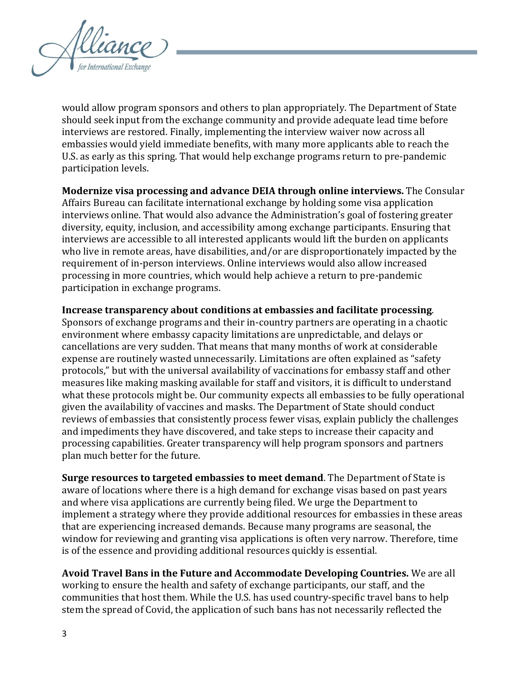

would allow program sponsors and others to plan appropriately. The Department of State should seek input from the exchange community and provide adequate lead time before interviews are restored. Finally, implementing the interview waiver now across all embassies would yield immediate benefits, with many more applicants able to reach the U.S. as early as this spring. That would help exchange programs return to pre-pandemic participation levels.

**Modernize visa processing and advance DEIA through online interviews.** The Consular Affairs Bureau can facilitate international exchange by holding some visa application interviews online. That would also advance the Administration's goal of fostering greater diversity, equity, inclusion, and accessibility among exchange participants. Ensuring that interviews are accessible to all interested applicants would lift the burden on applicants who live in remote areas, have disabilities, and/or are disproportionately impacted by the requirement of in-person interviews. Online interviews would also allow increased processing in more countries, which would help achieve a return to pre-pandemic participation in exchange programs.

**Increase transparency about conditions at embassies and facilitate processing**. Sponsors of exchange programs and their in-country partners are operating in a chaotic environment where embassy capacity limitations are unpredictable, and delays or cancellations are very sudden. That means that many months of work at considerable expense are routinely wasted unnecessarily. Limitations are often explained as "safety protocols," but with the universal availability of vaccinations for embassy staff and other measures like making masking available for staff and visitors, it is difficult to understand what these protocols might be. Our community expects all embassies to be fully operational given the availability of vaccines and masks. The Department of State should conduct reviews of embassies that consistently process fewer visas, explain publicly the challenges and impediments they have discovered, and take steps to increase their capacity and processing capabilities. Greater transparency will help program sponsors and partners plan much better for the future.

**Surge resources to targeted embassies to meet demand**. The Department of State is aware of locations where there is a high demand for exchange visas based on past years and where visa applications are currently being filed. We urge the Department to implement a strategy where they provide additional resources for embassies in these areas that are experiencing increased demands. Because many programs are seasonal, the window for reviewing and granting visa applications is often very narrow. Therefore, time is of the essence and providing additional resources quickly is essential.

**Avoid Travel Bans in the Future and Accommodate Developing Countries.** We are all working to ensure the health and safety of exchange participants, our staff, and the communities that host them. While the U.S. has used country-specific travel bans to help stem the spread of Covid, the application of such bans has not necessarily reflected the